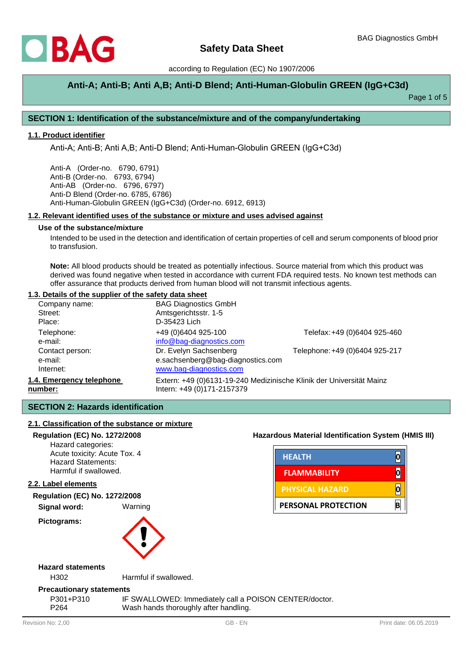

# **Anti-A; Anti-B; Anti A,B; Anti-D Blend; Anti-Human-Globulin GREEN (IgG+C3d)**

Page 1 of 5

## **SECTION 1: Identification of the substance/mixture and of the company/undertaking**

## **1.1. Product identifier**

Anti-A; Anti-B; Anti A,B; Anti-D Blend; Anti-Human-Globulin GREEN (IgG+C3d)

Anti-A (Order-no. 6790, 6791) Anti-B (Order-no. 6793, 6794) Anti-AB (Order-no. 6796, 6797) Anti-D Blend (Order-no. 6785, 6786) Anti-Human-Globulin GREEN (IgG+C3d) (Order-no. 6912, 6913)

#### **1.2. Relevant identified uses of the substance or mixture and uses advised against**

#### **Use of the substance/mixture**

Intended to be used in the detection and identification of certain properties of cell and serum components of blood prior to transfusion.

**Note:** All blood products should be treated as potentially infectious. Source material from which this product was derived was found negative when tested in accordance with current FDA required tests. No known test methods can offer assurance that products derived from human blood will not transmit infectious agents.

#### **1.3. Details of the supplier of the safety data sheet**

| Company name:            | <b>BAG Diagnostics GmbH</b>                                          |                                |  |
|--------------------------|----------------------------------------------------------------------|--------------------------------|--|
| Street:                  | Amtsgerichtsstr. 1-5                                                 |                                |  |
| Place:                   | D-35423 Lich                                                         |                                |  |
| Telephone:               | +49 (0)6404 925-100                                                  | Telefax: +49 (0)6404 925-460   |  |
| e-mail:                  | info@bag-diagnostics.com                                             |                                |  |
| Contact person:          | Dr. Evelyn Sachsenberg                                               | Telephone: +49 (0)6404 925-217 |  |
| e-mail:                  | e.sachsenberg@bag-diagnostics.com                                    |                                |  |
| Internet:                | www.bag-diagnostics.com                                              |                                |  |
| 1.4. Emergency telephone | Extern: +49 (0)6131-19-240 Medizinische Klinik der Universität Mainz |                                |  |
| number:                  | Intern: +49 (0)171-2157379                                           |                                |  |

## **SECTION 2: Hazards identification**

## **2.1. Classification of the substance or mixture**

#### **Regulation (EC) No. 1272/2008 Hazardous Material Identification System (HMIS III)**

Hazard categories: Acute toxicity: Acute Tox. 4 Hazard Statements: Harmful if swallowed.

#### **2.2. Label elements**

## **Regulation (EC) No. 1272/2008**

**Signal word:** Warning

**Pictograms:** 



| <b>HEALTH</b>              |   |
|----------------------------|---|
| <b>FLAMMABILITY</b>        |   |
| <b>PHYSICAL HAZARD</b>     |   |
| <b>PERSONAL PROTECTION</b> | B |

**Hazard statements**

H302 Harmful if swallowed.

#### **Precautionary statements**

P301+P310 IF SWALLOWED: Immediately call a POISON CENTER/doctor. P264 Wash hands thoroughly after handling.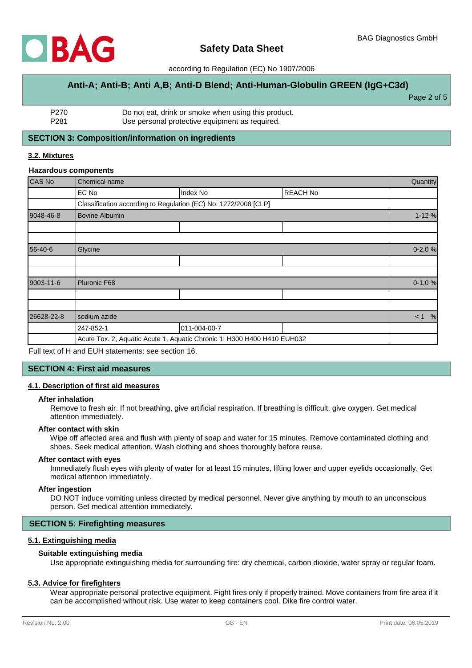

# **Anti-A; Anti-B; Anti A,B; Anti-D Blend; Anti-Human-Globulin GREEN (IgG+C3d)**

Page 2 of 5

| P270             | Do not eat, drink or smoke when using this product. |
|------------------|-----------------------------------------------------|
| P <sub>281</sub> | Use personal protective equipment as required.      |

## **SECTION 3: Composition/information on ingredients**

## **3.2. Mixtures**

#### **Hazardous components**

| CAS No     | Chemical name                                                           |                                                                 |                 |          |  |
|------------|-------------------------------------------------------------------------|-----------------------------------------------------------------|-----------------|----------|--|
|            | EC No                                                                   | Index No                                                        | <b>REACH No</b> |          |  |
|            |                                                                         | Classification according to Regulation (EC) No. 1272/2008 [CLP] |                 |          |  |
| 9048-46-8  | <b>Bovine Albumin</b>                                                   |                                                                 |                 |          |  |
|            |                                                                         |                                                                 |                 |          |  |
|            |                                                                         |                                                                 |                 |          |  |
| 56-40-6    | Glycine                                                                 |                                                                 |                 |          |  |
|            |                                                                         |                                                                 |                 |          |  |
|            |                                                                         |                                                                 |                 |          |  |
| 9003-11-6  | Pluronic F68                                                            |                                                                 |                 | $0-1,0%$ |  |
|            |                                                                         |                                                                 |                 |          |  |
|            |                                                                         |                                                                 |                 |          |  |
| 26628-22-8 | sodium azide                                                            |                                                                 |                 |          |  |
|            | 247-852-1                                                               | 011-004-00-7                                                    |                 |          |  |
|            | Acute Tox. 2, Aquatic Acute 1, Aquatic Chronic 1; H300 H400 H410 EUH032 |                                                                 |                 |          |  |

Full text of H and EUH statements: see section 16.

## **SECTION 4: First aid measures**

## **4.1. Description of first aid measures**

#### **After inhalation**

Remove to fresh air. If not breathing, give artificial respiration. If breathing is difficult, give oxygen. Get medical attention immediately.

#### **After contact with skin**

Wipe off affected area and flush with plenty of soap and water for 15 minutes. Remove contaminated clothing and shoes. Seek medical attention. Wash clothing and shoes thoroughly before reuse.

## **After contact with eyes**

Immediately flush eyes with plenty of water for at least 15 minutes, lifting lower and upper eyelids occasionally. Get medical attention immediately.

#### **After ingestion**

DO NOT induce vomiting unless directed by medical personnel. Never give anything by mouth to an unconscious person. Get medical attention immediately.

## **SECTION 5: Firefighting measures**

## **5.1. Extinguishing media**

## **Suitable extinguishing media**

Use appropriate extinguishing media for surrounding fire: dry chemical, carbon dioxide, water spray or regular foam.

## **5.3. Advice for firefighters**

Wear appropriate personal protective equipment. Fight fires only if properly trained. Move containers from fire area if it can be accomplished without risk. Use water to keep containers cool. Dike fire control water.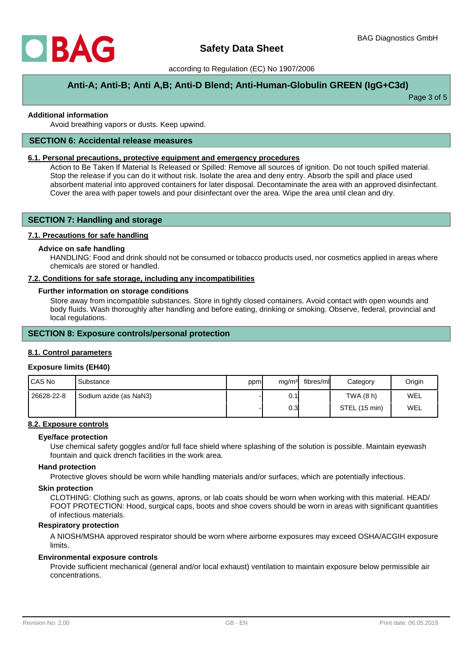

# **Anti-A; Anti-B; Anti A,B; Anti-D Blend; Anti-Human-Globulin GREEN (IgG+C3d)**

Page 3 of 5

## **Additional information**

Avoid breathing vapors or dusts. Keep upwind.

## **SECTION 6: Accidental release measures**

## **6.1. Personal precautions, protective equipment and emergency procedures**

Action to Be Taken If Material Is Released or Spilled: Remove all sources of ignition. Do not touch spilled material. Stop the release if you can do it without risk. Isolate the area and deny entry. Absorb the spill and place used absorbent material into approved containers for later disposal. Decontaminate the area with an approved disinfectant. Cover the area with paper towels and pour disinfectant over the area. Wipe the area until clean and dry.

## **SECTION 7: Handling and storage**

## **7.1. Precautions for safe handling**

## **Advice on safe handling**

HANDLING: Food and drink should not be consumed or tobacco products used, nor cosmetics applied in areas where chemicals are stored or handled.

#### **7.2. Conditions for safe storage, including any incompatibilities**

## **Further information on storage conditions**

Store away from incompatible substances. Store in tightly closed containers. Avoid contact with open wounds and body fluids. Wash thoroughly after handling and before eating, drinking or smoking. Observe, federal, provincial and local regulations.

## **SECTION 8: Exposure controls/personal protection**

#### **8.1. Control parameters**

#### **Exposure limits (EH40)**

| I CAS No   | Substance              | ppm | mg/m <sup>3</sup> | fibres/ml | Category      | Origin |
|------------|------------------------|-----|-------------------|-----------|---------------|--------|
| 26628-22-8 | Sodium azide (as NaN3) |     | 0.1               |           | TWA (8 h)     | WEL    |
|            |                        |     | 0.3               |           | STEL (15 min) | WEL    |

## **8.2. Exposure controls**

#### **Eye/face protection**

Use chemical safety goggles and/or full face shield where splashing of the solution is possible. Maintain eyewash fountain and quick drench facilities in the work area.

#### **Hand protection**

Protective gloves should be worn while handling materials and/or surfaces, which are potentially infectious.

#### **Skin protection**

CLOTHING: Clothing such as gowns, aprons, or lab coats should be worn when working with this material. HEAD/ FOOT PROTECTION: Hood, surgical caps, boots and shoe covers should be worn in areas with significant quantities of infectious materials.

## **Respiratory protection**

A NIOSH/MSHA approved respirator should be worn where airborne exposures may exceed OSHA/ACGIH exposure limits.

#### **Environmental exposure controls**

Provide sufficient mechanical (general and/or local exhaust) ventilation to maintain exposure below permissible air concentrations.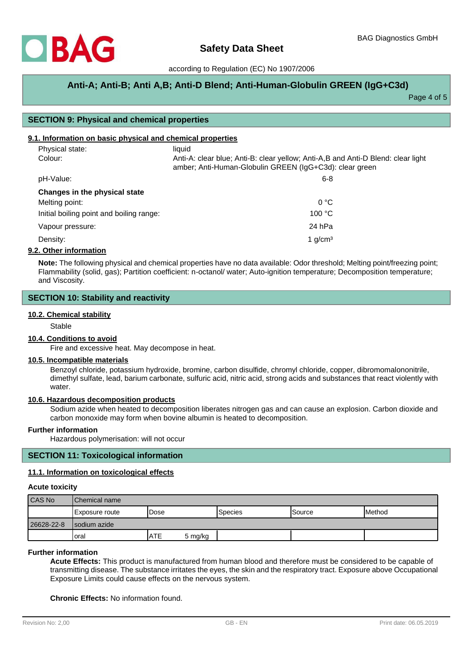

# **Anti-A; Anti-B; Anti A,B; Anti-D Blend; Anti-Human-Globulin GREEN (IgG+C3d)**

Page 4 of 5

## **SECTION 9: Physical and chemical properties**

## **9.1. Information on basic physical and chemical properties**

| Physical state:                          | liquid                                                                                                                                      |
|------------------------------------------|---------------------------------------------------------------------------------------------------------------------------------------------|
| Colour:                                  | Anti-A: clear blue; Anti-B: clear yellow; Anti-A,B and Anti-D Blend: clear light<br>amber; Anti-Human-Globulin GREEN (IgG+C3d): clear green |
| pH-Value:                                | $6 - 8$                                                                                                                                     |
| Changes in the physical state            |                                                                                                                                             |
| Melting point:                           | 0 °C                                                                                                                                        |
| Initial boiling point and boiling range: | 100 °C                                                                                                                                      |
| Vapour pressure:                         | 24 hPa                                                                                                                                      |
| Density:                                 | 1 $g/cm3$                                                                                                                                   |
| 9.2. Other information                   |                                                                                                                                             |

**Note:** The following physical and chemical properties have no data available: Odor threshold; Melting point/freezing point; Flammability (solid, gas); Partition coefficient: n-octanol/ water; Auto-ignition temperature; Decomposition temperature; and Viscosity.

## **SECTION 10: Stability and reactivity**

## **10.2. Chemical stability**

Stable

## **10.4. Conditions to avoid**

Fire and excessive heat. May decompose in heat.

#### **10.5. Incompatible materials**

Benzoyl chloride, potassium hydroxide, bromine, carbon disulfide, chromyl chloride, copper, dibromomalononitrile, dimethyl sulfate, lead, barium carbonate, sulfuric acid, nitric acid, strong acids and substances that react violently with water.

## **10.6. Hazardous decomposition products**

Sodium azide when heated to decomposition liberates nitrogen gas and can cause an explosion. Carbon dioxide and carbon monoxide may form when bovine albumin is heated to decomposition.

## **Further information**

Hazardous polymerisation: will not occur

## **SECTION 11: Toxicological information**

## **11.1. Information on toxicological effects**

#### **Acute toxicity**

| CAS No     | <b>IChemical name</b> |             |         |                  |               |               |
|------------|-----------------------|-------------|---------|------------------|---------------|---------------|
|            | Exposure route        | 'Dose       |         | <b>I</b> Species | <b>Source</b> | <b>Method</b> |
| 26628-22-8 | Isodium azide         |             |         |                  |               |               |
|            | oral                  | <b>IATE</b> | 5 mg/kg |                  |               |               |

#### **Further information**

**Acute Effects:** This product is manufactured from human blood and therefore must be considered to be capable of transmitting disease. The substance irritates the eyes, the skin and the respiratory tract. Exposure above Occupational Exposure Limits could cause effects on the nervous system.

**Chronic Effects:** No information found.